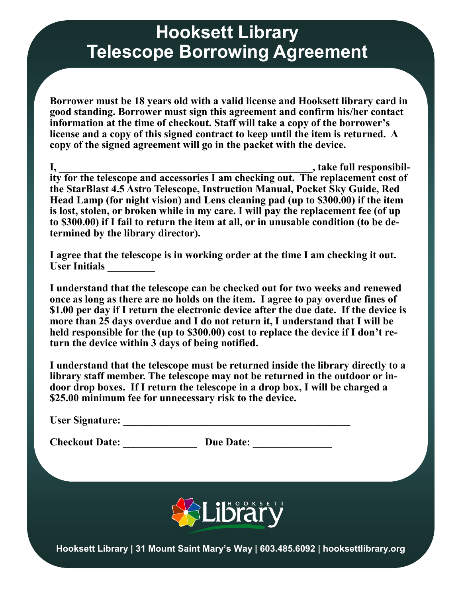## **Hooksett Library Telescope Borrowing Agreement**

**Borrower must be 18 years old with a valid license and Hooksett library card in good standing. Borrower must sign this agreement and confirm his/her contact information at the time of checkout. Staff will take a copy of the borrower's license and a copy of this signed contract to keep until the item is returned. A copy of the signed agreement will go in the packet with the device.**

**I, \_\_\_\_\_\_\_\_\_\_\_\_\_\_\_\_\_\_\_\_\_\_\_\_\_\_\_\_\_\_\_\_\_\_\_\_\_\_\_\_\_\_\_\_\_\_\_\_, take full responsibility for the telescope and accessories I am checking out. The replacement cost of the StarBlast 4.5 Astro Telescope, Instruction Manual, Pocket Sky Guide, Red Head Lamp (for night vision) and Lens cleaning pad (up to \$300.00) if the item is lost, stolen, or broken while in my care. I will pay the replacement fee (of up to \$300.00) if I fail to return the item at all, or in unusable condition (to be determined by the library director).**

**I agree that the telescope is in working order at the time I am checking it out. User Initials \_\_\_\_\_\_\_\_\_**

**I understand that the telescope can be checked out for two weeks and renewed once as long as there are no holds on the item. I agree to pay overdue fines of \$1.00 per day if I return the electronic device after the due date. If the device is more than 25 days overdue and I do not return it, I understand that I will be held responsible for the (up to \$300.00) cost to replace the device if I don't return the device within 3 days of being notified.**

**I understand that the telescope must be returned inside the library directly to a library staff member. The telescope may not be returned in the outdoor or indoor drop boxes. If I return the telescope in a drop box, I will be charged a \$25.00 minimum fee for unnecessary risk to the device.**

**Checkout Date:** Due Date:



**Hooksett Library | 31 Mount Saint Mary's Way | 603.485.6092 | hooksettlibrary.org**